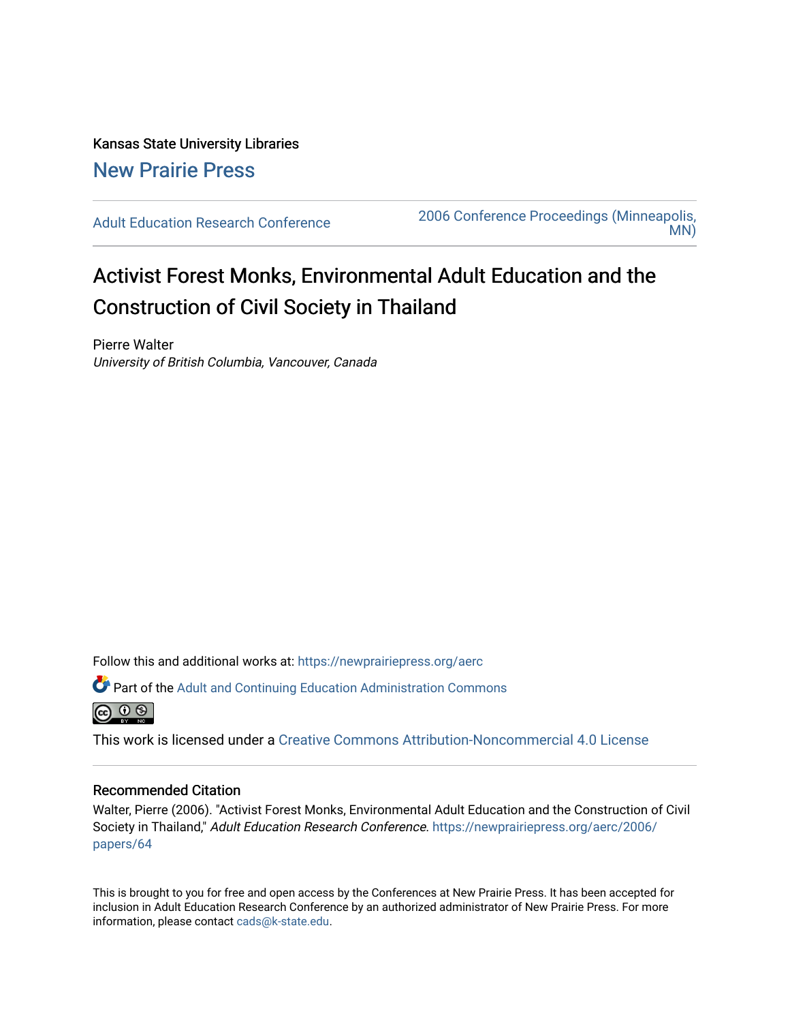Kansas State University Libraries [New Prairie Press](https://newprairiepress.org/) 

[Adult Education Research Conference](https://newprairiepress.org/aerc) [2006 Conference Proceedings \(Minneapolis,](https://newprairiepress.org/aerc/2006)  [MN\)](https://newprairiepress.org/aerc/2006) 

# Activist Forest Monks, Environmental Adult Education and the Construction of Civil Society in Thailand

Pierre Walter University of British Columbia, Vancouver, Canada

Follow this and additional works at: [https://newprairiepress.org/aerc](https://newprairiepress.org/aerc?utm_source=newprairiepress.org%2Faerc%2F2006%2Fpapers%2F64&utm_medium=PDF&utm_campaign=PDFCoverPages)

Part of the [Adult and Continuing Education Administration Commons](http://network.bepress.com/hgg/discipline/789?utm_source=newprairiepress.org%2Faerc%2F2006%2Fpapers%2F64&utm_medium=PDF&utm_campaign=PDFCoverPages)



This work is licensed under a [Creative Commons Attribution-Noncommercial 4.0 License](https://creativecommons.org/licenses/by-nc/4.0/)

# Recommended Citation

Walter, Pierre (2006). "Activist Forest Monks, Environmental Adult Education and the Construction of Civil Society in Thailand," Adult Education Research Conference. [https://newprairiepress.org/aerc/2006/](https://newprairiepress.org/aerc/2006/papers/64) [papers/64](https://newprairiepress.org/aerc/2006/papers/64) 

This is brought to you for free and open access by the Conferences at New Prairie Press. It has been accepted for inclusion in Adult Education Research Conference by an authorized administrator of New Prairie Press. For more information, please contact [cads@k-state.edu](mailto:cads@k-state.edu).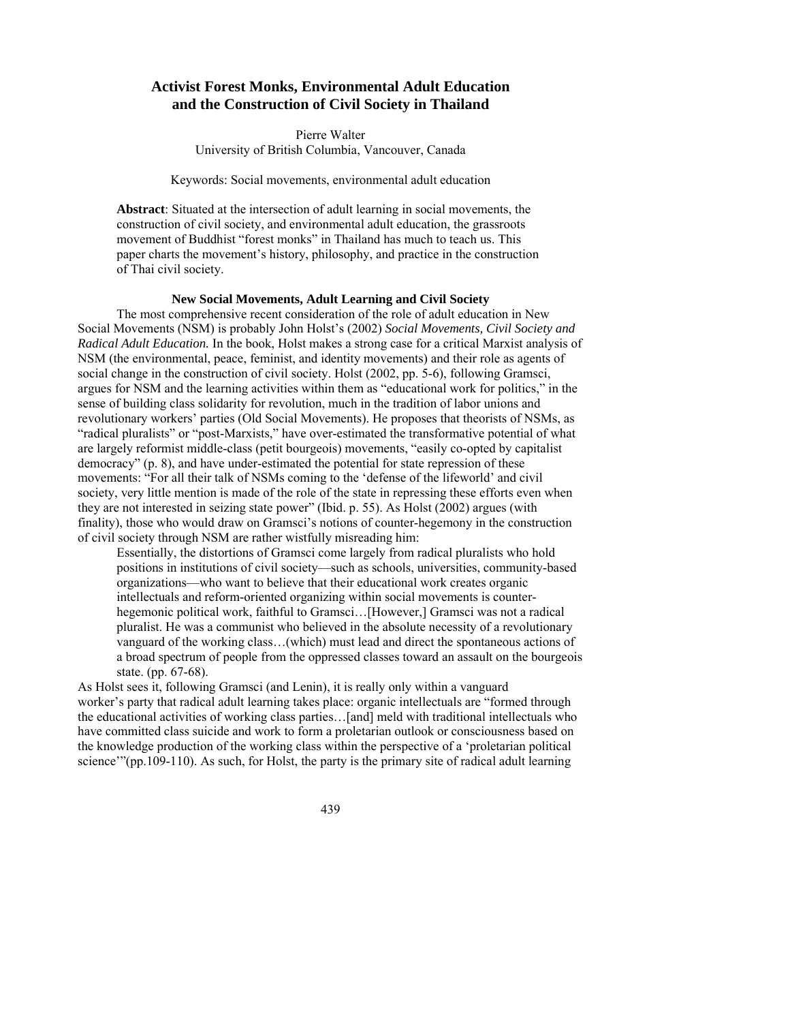# **Activist Forest Monks, Environmental Adult Education and the Construction of Civil Society in Thailand**

Pierre Walter University of British Columbia, Vancouver, Canada

## Keywords: Social movements, environmental adult education

**Abstract**: Situated at the intersection of adult learning in social movements, the construction of civil society, and environmental adult education, the grassroots movement of Buddhist "forest monks" in Thailand has much to teach us. This paper charts the movement's history, philosophy, and practice in the construction of Thai civil society.

# **New Social Movements, Adult Learning and Civil Society**

The most comprehensive recent consideration of the role of adult education in New Social Movements (NSM) is probably John Holst's (2002) *Social Movements, Civil Society and Radical Adult Education.* In the book, Holst makes a strong case for a critical Marxist analysis of NSM (the environmental, peace, feminist, and identity movements) and their role as agents of social change in the construction of civil society. Holst (2002, pp. 5-6), following Gramsci, argues for NSM and the learning activities within them as "educational work for politics," in the sense of building class solidarity for revolution, much in the tradition of labor unions and revolutionary workers' parties (Old Social Movements). He proposes that theorists of NSMs, as "radical pluralists" or "post-Marxists," have over-estimated the transformative potential of what are largely reformist middle-class (petit bourgeois) movements, "easily co-opted by capitalist democracy" (p. 8), and have under-estimated the potential for state repression of these movements: "For all their talk of NSMs coming to the 'defense of the lifeworld' and civil society, very little mention is made of the role of the state in repressing these efforts even when they are not interested in seizing state power" (Ibid. p. 55). As Holst (2002) argues (with finality), those who would draw on Gramsci's notions of counter-hegemony in the construction of civil society through NSM are rather wistfully misreading him:

Essentially, the distortions of Gramsci come largely from radical pluralists who hold positions in institutions of civil society—such as schools, universities, community-based organizations—who want to believe that their educational work creates organic intellectuals and reform-oriented organizing within social movements is counterhegemonic political work, faithful to Gramsci…[However,] Gramsci was not a radical pluralist. He was a communist who believed in the absolute necessity of a revolutionary vanguard of the working class…(which) must lead and direct the spontaneous actions of a broad spectrum of people from the oppressed classes toward an assault on the bourgeois state. (pp. 67-68).

As Holst sees it, following Gramsci (and Lenin), it is really only within a vanguard worker's party that radical adult learning takes place: organic intellectuals are "formed through the educational activities of working class parties…[and] meld with traditional intellectuals who have committed class suicide and work to form a proletarian outlook or consciousness based on the knowledge production of the working class within the perspective of a 'proletarian political science'''(pp.109-110). As such, for Holst, the party is the primary site of radical adult learning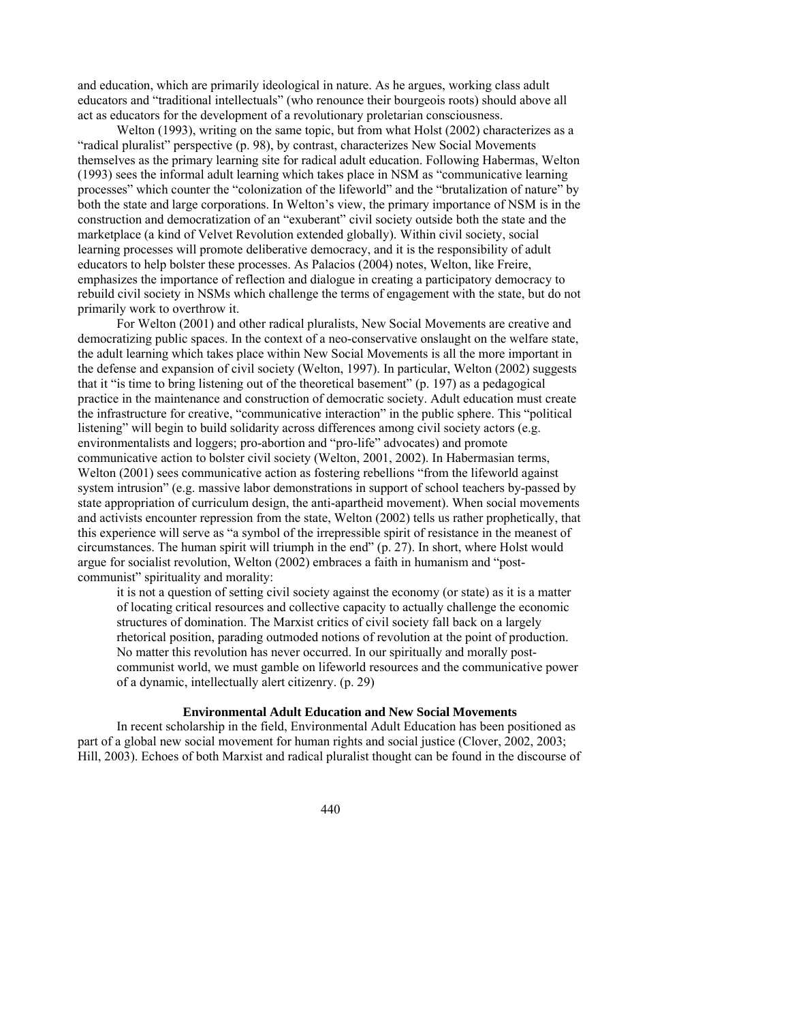and education, which are primarily ideological in nature. As he argues, working class adult educators and "traditional intellectuals" (who renounce their bourgeois roots) should above all act as educators for the development of a revolutionary proletarian consciousness.

Welton (1993), writing on the same topic, but from what Holst (2002) characterizes as a "radical pluralist" perspective (p. 98), by contrast, characterizes New Social Movements themselves as the primary learning site for radical adult education. Following Habermas, Welton (1993) sees the informal adult learning which takes place in NSM as "communicative learning processes" which counter the "colonization of the lifeworld" and the "brutalization of nature" by both the state and large corporations. In Welton's view, the primary importance of NSM is in the construction and democratization of an "exuberant" civil society outside both the state and the marketplace (a kind of Velvet Revolution extended globally). Within civil society, social learning processes will promote deliberative democracy, and it is the responsibility of adult educators to help bolster these processes. As Palacios (2004) notes, Welton, like Freire, emphasizes the importance of reflection and dialogue in creating a participatory democracy to rebuild civil society in NSMs which challenge the terms of engagement with the state, but do not primarily work to overthrow it.

For Welton (2001) and other radical pluralists, New Social Movements are creative and democratizing public spaces. In the context of a neo-conservative onslaught on the welfare state, the adult learning which takes place within New Social Movements is all the more important in the defense and expansion of civil society (Welton, 1997). In particular, Welton (2002) suggests that it "is time to bring listening out of the theoretical basement" (p. 197) as a pedagogical practice in the maintenance and construction of democratic society. Adult education must create the infrastructure for creative, "communicative interaction" in the public sphere. This "political listening" will begin to build solidarity across differences among civil society actors (e.g. environmentalists and loggers; pro-abortion and "pro-life" advocates) and promote communicative action to bolster civil society (Welton, 2001, 2002). In Habermasian terms, Welton (2001) sees communicative action as fostering rebellions "from the lifeworld against system intrusion" (e.g. massive labor demonstrations in support of school teachers by-passed by state appropriation of curriculum design, the anti-apartheid movement). When social movements and activists encounter repression from the state, Welton (2002) tells us rather prophetically, that this experience will serve as "a symbol of the irrepressible spirit of resistance in the meanest of circumstances. The human spirit will triumph in the end" (p. 27). In short, where Holst would argue for socialist revolution, Welton (2002) embraces a faith in humanism and "postcommunist" spirituality and morality:

it is not a question of setting civil society against the economy (or state) as it is a matter of locating critical resources and collective capacity to actually challenge the economic structures of domination. The Marxist critics of civil society fall back on a largely rhetorical position, parading outmoded notions of revolution at the point of production. No matter this revolution has never occurred. In our spiritually and morally postcommunist world, we must gamble on lifeworld resources and the communicative power of a dynamic, intellectually alert citizenry. (p. 29)

## **Environmental Adult Education and New Social Movements**

In recent scholarship in the field, Environmental Adult Education has been positioned as part of a global new social movement for human rights and social justice (Clover, 2002, 2003; Hill, 2003). Echoes of both Marxist and radical pluralist thought can be found in the discourse of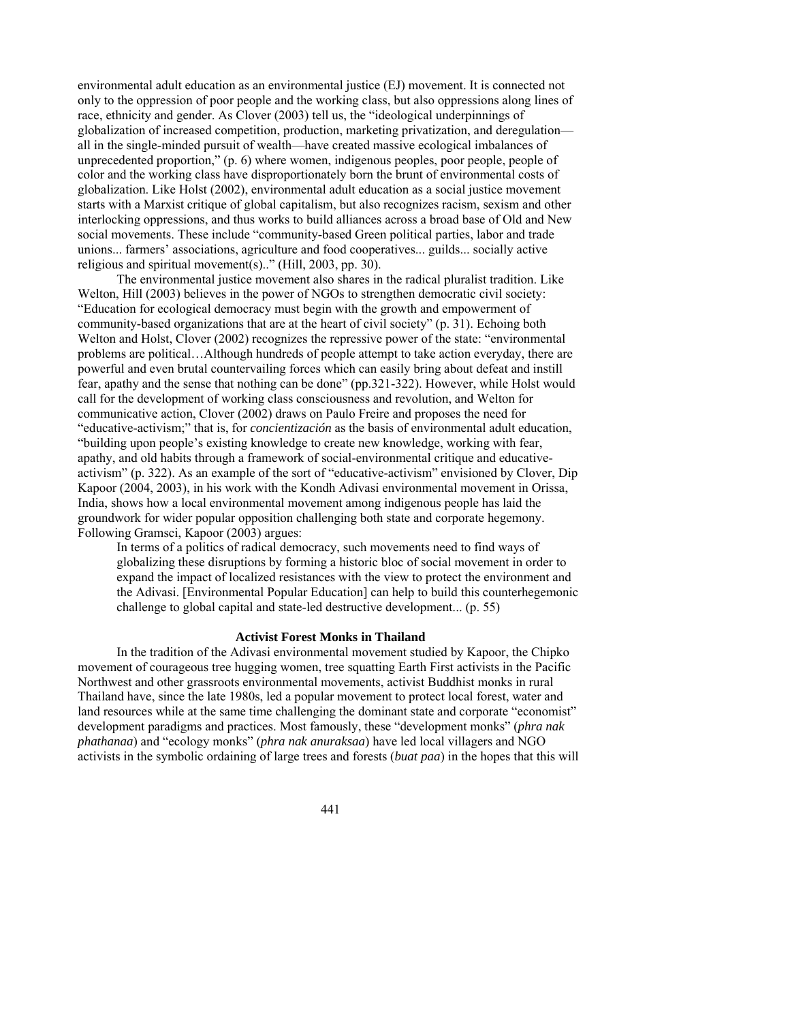environmental adult education as an environmental justice (EJ) movement. It is connected not only to the oppression of poor people and the working class, but also oppressions along lines of race, ethnicity and gender. As Clover (2003) tell us, the "ideological underpinnings of globalization of increased competition, production, marketing privatization, and deregulation all in the single-minded pursuit of wealth—have created massive ecological imbalances of unprecedented proportion," (p. 6) where women, indigenous peoples, poor people, people of color and the working class have disproportionately born the brunt of environmental costs of globalization. Like Holst (2002), environmental adult education as a social justice movement starts with a Marxist critique of global capitalism, but also recognizes racism, sexism and other interlocking oppressions, and thus works to build alliances across a broad base of Old and New social movements. These include "community-based Green political parties, labor and trade unions... farmers' associations, agriculture and food cooperatives... guilds... socially active religious and spiritual movement(s).." (Hill, 2003, pp. 30).

The environmental justice movement also shares in the radical pluralist tradition. Like Welton, Hill (2003) believes in the power of NGOs to strengthen democratic civil society: "Education for ecological democracy must begin with the growth and empowerment of community-based organizations that are at the heart of civil society" (p. 31). Echoing both Welton and Holst, Clover (2002) recognizes the repressive power of the state: "environmental problems are political…Although hundreds of people attempt to take action everyday, there are powerful and even brutal countervailing forces which can easily bring about defeat and instill fear, apathy and the sense that nothing can be done" (pp.321-322). However, while Holst would call for the development of working class consciousness and revolution, and Welton for communicative action, Clover (2002) draws on Paulo Freire and proposes the need for "educative-activism;" that is, for *concientización* as the basis of environmental adult education, "building upon people's existing knowledge to create new knowledge, working with fear, apathy, and old habits through a framework of social-environmental critique and educativeactivism" (p. 322). As an example of the sort of "educative-activism" envisioned by Clover, Dip Kapoor (2004, 2003), in his work with the Kondh Adivasi environmental movement in Orissa, India, shows how a local environmental movement among indigenous people has laid the groundwork for wider popular opposition challenging both state and corporate hegemony. Following Gramsci, Kapoor (2003) argues:

In terms of a politics of radical democracy, such movements need to find ways of globalizing these disruptions by forming a historic bloc of social movement in order to expand the impact of localized resistances with the view to protect the environment and the Adivasi. [Environmental Popular Education] can help to build this counterhegemonic challenge to global capital and state-led destructive development... (p. 55)

# **Activist Forest Monks in Thailand**

In the tradition of the Adivasi environmental movement studied by Kapoor, the Chipko movement of courageous tree hugging women, tree squatting Earth First activists in the Pacific Northwest and other grassroots environmental movements, activist Buddhist monks in rural Thailand have, since the late 1980s, led a popular movement to protect local forest, water and land resources while at the same time challenging the dominant state and corporate "economist" development paradigms and practices. Most famously, these "development monks" (*phra nak phathanaa*) and "ecology monks" (*phra nak anuraksaa*) have led local villagers and NGO activists in the symbolic ordaining of large trees and forests (*buat paa*) in the hopes that this will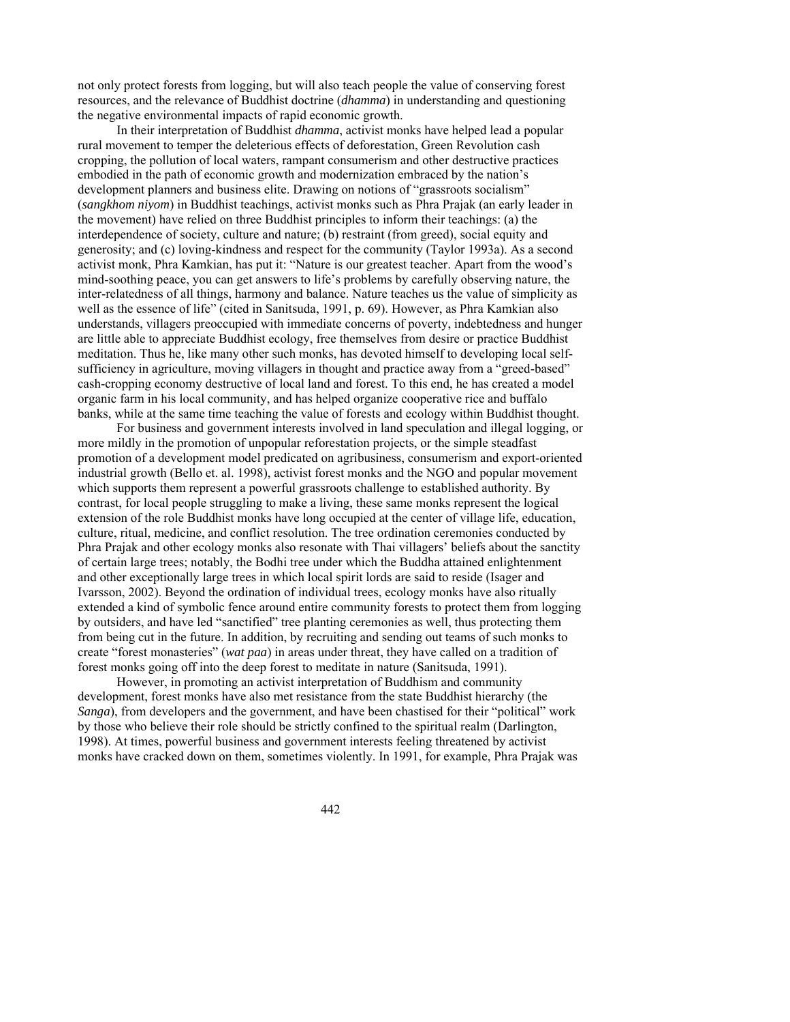not only protect forests from logging, but will also teach people the value of conserving forest resources, and the relevance of Buddhist doctrine (*dhamma*) in understanding and questioning the negative environmental impacts of rapid economic growth.

In their interpretation of Buddhist *dhamma*, activist monks have helped lead a popular rural movement to temper the deleterious effects of deforestation, Green Revolution cash cropping, the pollution of local waters, rampant consumerism and other destructive practices embodied in the path of economic growth and modernization embraced by the nation's development planners and business elite. Drawing on notions of "grassroots socialism" (*sangkhom niyom*) in Buddhist teachings, activist monks such as Phra Prajak (an early leader in the movement) have relied on three Buddhist principles to inform their teachings: (a) the interdependence of society, culture and nature; (b) restraint (from greed), social equity and generosity; and (c) loving-kindness and respect for the community (Taylor 1993a). As a second activist monk, Phra Kamkian, has put it: "Nature is our greatest teacher. Apart from the wood's mind-soothing peace, you can get answers to life's problems by carefully observing nature, the inter-relatedness of all things, harmony and balance. Nature teaches us the value of simplicity as well as the essence of life" (cited in Sanitsuda, 1991, p. 69). However, as Phra Kamkian also understands, villagers preoccupied with immediate concerns of poverty, indebtedness and hunger are little able to appreciate Buddhist ecology, free themselves from desire or practice Buddhist meditation. Thus he, like many other such monks, has devoted himself to developing local selfsufficiency in agriculture, moving villagers in thought and practice away from a "greed-based" cash-cropping economy destructive of local land and forest. To this end, he has created a model organic farm in his local community, and has helped organize cooperative rice and buffalo banks, while at the same time teaching the value of forests and ecology within Buddhist thought.

For business and government interests involved in land speculation and illegal logging, or more mildly in the promotion of unpopular reforestation projects, or the simple steadfast promotion of a development model predicated on agribusiness, consumerism and export-oriented industrial growth (Bello et. al. 1998), activist forest monks and the NGO and popular movement which supports them represent a powerful grassroots challenge to established authority. By contrast, for local people struggling to make a living, these same monks represent the logical extension of the role Buddhist monks have long occupied at the center of village life, education, culture, ritual, medicine, and conflict resolution. The tree ordination ceremonies conducted by Phra Prajak and other ecology monks also resonate with Thai villagers' beliefs about the sanctity of certain large trees; notably, the Bodhi tree under which the Buddha attained enlightenment and other exceptionally large trees in which local spirit lords are said to reside (Isager and Ivarsson, 2002). Beyond the ordination of individual trees, ecology monks have also ritually extended a kind of symbolic fence around entire community forests to protect them from logging by outsiders, and have led "sanctified" tree planting ceremonies as well, thus protecting them from being cut in the future. In addition, by recruiting and sending out teams of such monks to create "forest monasteries" (*wat paa*) in areas under threat, they have called on a tradition of forest monks going off into the deep forest to meditate in nature (Sanitsuda, 1991).

However, in promoting an activist interpretation of Buddhism and community development, forest monks have also met resistance from the state Buddhist hierarchy (the *Sanga*), from developers and the government, and have been chastised for their "political" work by those who believe their role should be strictly confined to the spiritual realm (Darlington, 1998). At times, powerful business and government interests feeling threatened by activist monks have cracked down on them, sometimes violently. In 1991, for example, Phra Prajak was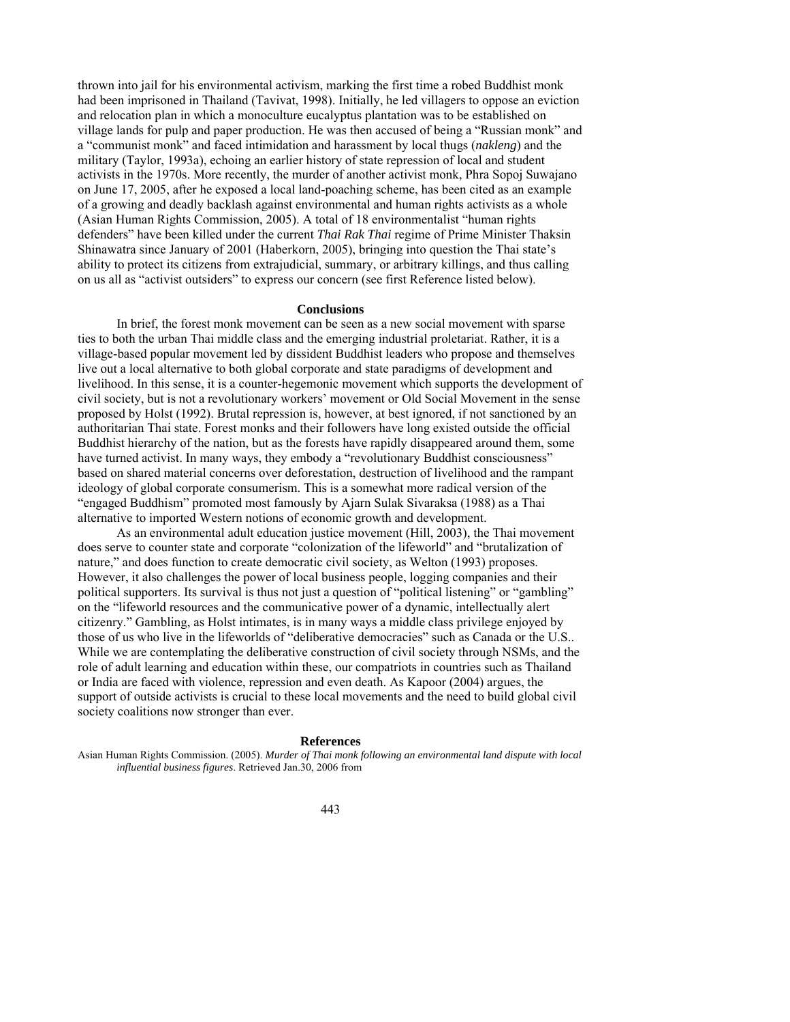thrown into jail for his environmental activism, marking the first time a robed Buddhist monk had been imprisoned in Thailand (Tavivat, 1998). Initially, he led villagers to oppose an eviction and relocation plan in which a monoculture eucalyptus plantation was to be established on village lands for pulp and paper production. He was then accused of being a "Russian monk" and a "communist monk" and faced intimidation and harassment by local thugs (*nakleng*) and the military (Taylor, 1993a), echoing an earlier history of state repression of local and student activists in the 1970s. More recently, the murder of another activist monk, Phra Sopoj Suwajano on June 17, 2005, after he exposed a local land-poaching scheme, has been cited as an example of a growing and deadly backlash against environmental and human rights activists as a whole (Asian Human Rights Commission, 2005). A total of 18 environmentalist "human rights defenders" have been killed under the current *Thai Rak Thai* regime of Prime Minister Thaksin Shinawatra since January of 2001 (Haberkorn, 2005), bringing into question the Thai state's ability to protect its citizens from extrajudicial, summary, or arbitrary killings, and thus calling on us all as "activist outsiders" to express our concern (see first Reference listed below).

#### **Conclusions**

In brief, the forest monk movement can be seen as a new social movement with sparse ties to both the urban Thai middle class and the emerging industrial proletariat. Rather, it is a village-based popular movement led by dissident Buddhist leaders who propose and themselves live out a local alternative to both global corporate and state paradigms of development and livelihood. In this sense, it is a counter-hegemonic movement which supports the development of civil society, but is not a revolutionary workers' movement or Old Social Movement in the sense proposed by Holst (1992). Brutal repression is, however, at best ignored, if not sanctioned by an authoritarian Thai state. Forest monks and their followers have long existed outside the official Buddhist hierarchy of the nation, but as the forests have rapidly disappeared around them, some have turned activist. In many ways, they embody a "revolutionary Buddhist consciousness" based on shared material concerns over deforestation, destruction of livelihood and the rampant ideology of global corporate consumerism. This is a somewhat more radical version of the "engaged Buddhism" promoted most famously by Ajarn Sulak Sivaraksa (1988) as a Thai alternative to imported Western notions of economic growth and development.

As an environmental adult education justice movement (Hill, 2003), the Thai movement does serve to counter state and corporate "colonization of the lifeworld" and "brutalization of nature," and does function to create democratic civil society, as Welton (1993) proposes. However, it also challenges the power of local business people, logging companies and their political supporters. Its survival is thus not just a question of "political listening" or "gambling" on the "lifeworld resources and the communicative power of a dynamic, intellectually alert citizenry." Gambling, as Holst intimates, is in many ways a middle class privilege enjoyed by those of us who live in the lifeworlds of "deliberative democracies" such as Canada or the U.S.. While we are contemplating the deliberative construction of civil society through NSMs, and the role of adult learning and education within these, our compatriots in countries such as Thailand or India are faced with violence, repression and even death. As Kapoor (2004) argues, the support of outside activists is crucial to these local movements and the need to build global civil society coalitions now stronger than ever.

#### **References**

Asian Human Rights Commission. (2005). *Murder of Thai monk following an environmental land dispute with local influential business figures*. Retrieved Jan.30, 2006 from